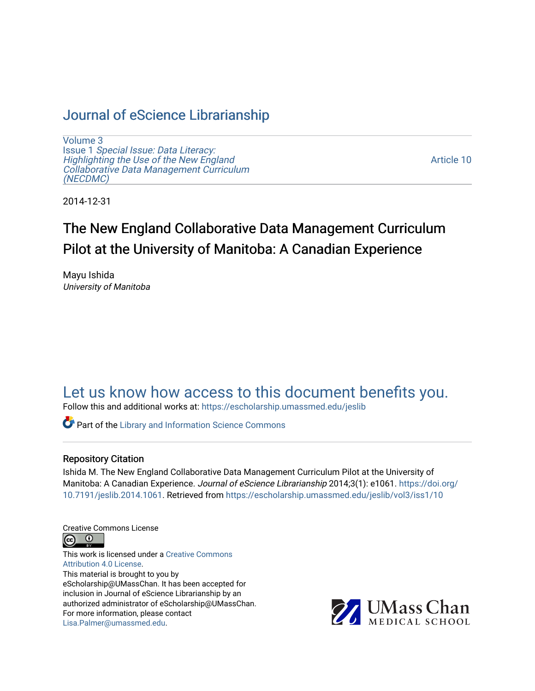# [Journal of eScience Librarianship](https://escholarship.umassmed.edu/jeslib)

[Volume 3](https://escholarship.umassmed.edu/jeslib/vol3) Issue 1 [Special Issue: Data Literacy:](https://escholarship.umassmed.edu/jeslib/vol3/iss1) [Highlighting the Use of the New England](https://escholarship.umassmed.edu/jeslib/vol3/iss1) [Collaborative Data Management Curriculum](https://escholarship.umassmed.edu/jeslib/vol3/iss1) [\(NECDMC\)](https://escholarship.umassmed.edu/jeslib/vol3/iss1) 

[Article 10](https://escholarship.umassmed.edu/jeslib/vol3/iss1/10) 

2014-12-31

# The New England Collaborative Data Management Curriculum Pilot at the University of Manitoba: A Canadian Experience

Mayu Ishida University of Manitoba

# [Let us know how access to this document benefits you.](https://arcsapps.umassmed.edu/redcap/surveys/?s=XWRHNF9EJE)

Follow this and additional works at: [https://escholarship.umassmed.edu/jeslib](https://escholarship.umassmed.edu/jeslib?utm_source=escholarship.umassmed.edu%2Fjeslib%2Fvol3%2Fiss1%2F10&utm_medium=PDF&utm_campaign=PDFCoverPages) 

**Part of the Library and Information Science Commons** 

#### Repository Citation

Ishida M. The New England Collaborative Data Management Curriculum Pilot at the University of Manitoba: A Canadian Experience. Journal of eScience Librarianship 2014;3(1): e1061. [https://doi.org/](https://doi.org/10.7191/jeslib.2014.1061) [10.7191/jeslib.2014.1061.](https://doi.org/10.7191/jeslib.2014.1061) Retrieved from [https://escholarship.umassmed.edu/jeslib/vol3/iss1/10](https://escholarship.umassmed.edu/jeslib/vol3/iss1/10?utm_source=escholarship.umassmed.edu%2Fjeslib%2Fvol3%2Fiss1%2F10&utm_medium=PDF&utm_campaign=PDFCoverPages)

Creative Commons License



This work is licensed under a [Creative Commons](https://creativecommons.org/licenses/by/4.0/) [Attribution 4.0 License.](https://creativecommons.org/licenses/by/4.0/) This material is brought to you by eScholarship@UMassChan. It has been accepted for inclusion in Journal of eScience Librarianship by an authorized administrator of eScholarship@UMassChan. For more information, please contact [Lisa.Palmer@umassmed.edu](mailto:Lisa.Palmer@umassmed.edu).

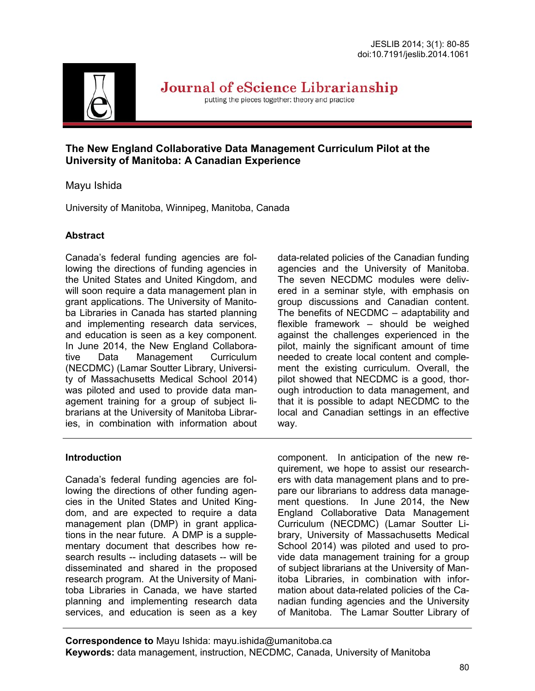

Journal of eScience Librarianship

putting the pieces together: theory and practice

### **The New England Collaborative Data Management Curriculum Pilot at the University of Manitoba: A Canadian Experience**

# Mayu Ishida

University of Manitoba, Winnipeg, Manitoba, Canada

# **Abstract**

Canada's federal funding agencies are following the directions of funding agencies in the United States and United Kingdom, and will soon require a data management plan in grant applications. The University of Manitoba Libraries in Canada has started planning and implementing research data services, and education is seen as a key component. In June 2014, the New England Collaborative Data Management Curriculum (NECDMC) (Lamar Soutter Library, University of Massachusetts Medical School 2014) was piloted and used to provide data management training for a group of subject librarians at the University of Manitoba Libraries, in combination with information about data-related policies of the Canadian funding agencies and the University of Manitoba. The seven NECDMC modules were delivered in a seminar style, with emphasis on group discussions and Canadian content. The benefits of NECDMC – adaptability and flexible framework – should be weighed against the challenges experienced in the pilot, mainly the significant amount of time needed to create local content and complement the existing curriculum. Overall, the pilot showed that NECDMC is a good, thorough introduction to data management, and that it is possible to adapt NECDMC to the local and Canadian settings in an effective way.

### **Introduction**

Canada's federal funding agencies are following the directions of other funding agencies in the United States and United Kingdom, and are expected to require a data management plan (DMP) in grant applications in the near future. A DMP is a supplementary document that describes how research results -- including datasets -- will be disseminated and shared in the proposed research program. At the University of Manitoba Libraries in Canada, we have started planning and implementing research data services, and education is seen as a key component. In anticipation of the new requirement, we hope to assist our researchers with data management plans and to prepare our librarians to address data management questions. In June 2014, the New England Collaborative Data Management Curriculum (NECDMC) (Lamar Soutter Library, University of Massachusetts Medical School 2014) was piloted and used to provide data management training for a group of subject librarians at the University of Manitoba Libraries, in combination with information about data-related policies of the Canadian funding agencies and the University of Manitoba. The Lamar Soutter Library of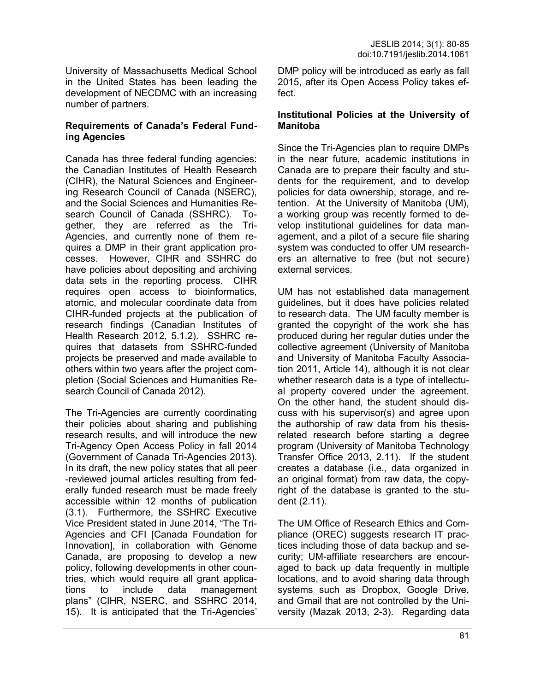University of Massachusetts Medical School in the United States has been leading the development of NECDMC with an increasing number of partners.

#### **Requirements of Canada's Federal Funding Agencies**

Canada has three federal funding agencies: the Canadian Institutes of Health Research (CIHR), the Natural Sciences and Engineering Research Council of Canada (NSERC), and the Social Sciences and Humanities Research Council of Canada (SSHRC). Together, they are referred as the Tri-Agencies, and currently none of them requires a DMP in their grant application processes. However, CIHR and SSHRC do have policies about depositing and archiving data sets in the reporting process. CIHR requires open access to bioinformatics, atomic, and molecular coordinate data from CIHR-funded projects at the publication of research findings (Canadian Institutes of Health Research 2012, 5.1.2). SSHRC requires that datasets from SSHRC-funded projects be preserved and made available to others within two years after the project completion (Social Sciences and Humanities Research Council of Canada 2012).

The Tri-Agencies are currently coordinating their policies about sharing and publishing research results, and will introduce the new Tri-Agency Open Access Policy in fall 2014 (Government of Canada Tri-Agencies 2013). In its draft, the new policy states that all peer -reviewed journal articles resulting from federally funded research must be made freely accessible within 12 months of publication (3.1). Furthermore, the SSHRC Executive Vice President stated in June 2014, "The Tri-Agencies and CFI [Canada Foundation for Innovation], in collaboration with Genome Canada, are proposing to develop a new policy, following developments in other countries, which would require all grant applications to include data management plans" (CIHR, NSERC, and SSHRC 2014, 15). It is anticipated that the Tri-Agencies'

DMP policy will be introduced as early as fall 2015, after its Open Access Policy takes effect.

#### **Institutional Policies at the University of Manitoba**

Since the Tri-Agencies plan to require DMPs in the near future, academic institutions in Canada are to prepare their faculty and students for the requirement, and to develop policies for data ownership, storage, and retention. At the University of Manitoba (UM), a working group was recently formed to develop institutional guidelines for data management, and a pilot of a secure file sharing system was conducted to offer UM researchers an alternative to free (but not secure) external services.

UM has not established data management guidelines, but it does have policies related to research data. The UM faculty member is granted the copyright of the work she has produced during her regular duties under the collective agreement (University of Manitoba and University of Manitoba Faculty Association 2011, Article 14), although it is not clear whether research data is a type of intellectual property covered under the agreement. On the other hand, the student should discuss with his supervisor(s) and agree upon the authorship of raw data from his thesisrelated research before starting a degree program (University of Manitoba Technology Transfer Office 2013, 2.11). If the student creates a database (i.e., data organized in an original format) from raw data, the copyright of the database is granted to the student (2.11).

The UM Office of Research Ethics and Compliance (OREC) suggests research IT practices including those of data backup and security; UM-affiliate researchers are encouraged to back up data frequently in multiple locations, and to avoid sharing data through systems such as Dropbox, Google Drive, and Gmail that are not controlled by the University (Mazak 2013, 2-3). Regarding data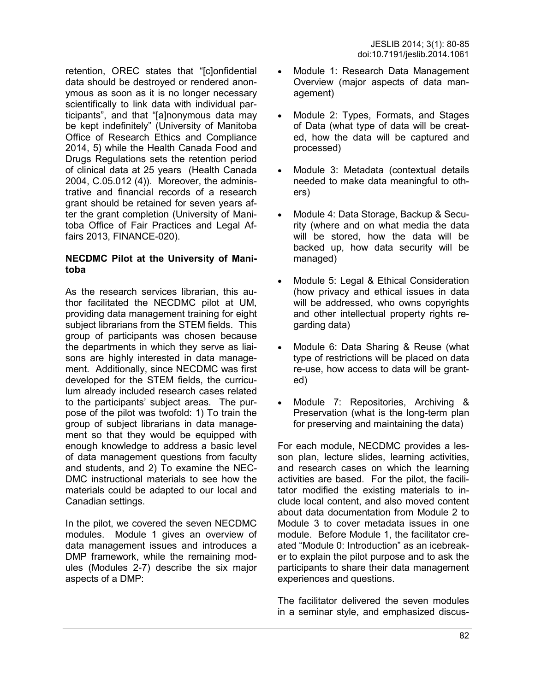retention, OREC states that "[c]onfidential data should be destroyed or rendered anonymous as soon as it is no longer necessary scientifically to link data with individual participants", and that "[a]nonymous data may be kept indefinitely" (University of Manitoba Office of Research Ethics and Compliance 2014, 5) while the Health Canada Food and Drugs Regulations sets the retention period of clinical data at 25 years (Health Canada 2004, C.05.012 (4)). Moreover, the administrative and financial records of a research grant should be retained for seven years after the grant completion (University of Manitoba Office of Fair Practices and Legal Affairs 2013, FINANCE-020).

#### **NECDMC Pilot at the University of Manitoba**

As the research services librarian, this author facilitated the NECDMC pilot at UM, providing data management training for eight subject librarians from the STEM fields. This group of participants was chosen because the departments in which they serve as liaisons are highly interested in data management. Additionally, since NECDMC was first developed for the STEM fields, the curriculum already included research cases related to the participants' subject areas. The purpose of the pilot was twofold: 1) To train the group of subject librarians in data management so that they would be equipped with enough knowledge to address a basic level of data management questions from faculty and students, and 2) To examine the NEC-DMC instructional materials to see how the materials could be adapted to our local and Canadian settings.

In the pilot, we covered the seven NECDMC modules. Module 1 gives an overview of data management issues and introduces a DMP framework, while the remaining modules (Modules 2-7) describe the six major aspects of a DMP:

- Module 1: Research Data Management Overview (major aspects of data management)
- Module 2: Types, Formats, and Stages of Data (what type of data will be created, how the data will be captured and processed)
- Module 3: Metadata (contextual details needed to make data meaningful to others)
- Module 4: Data Storage, Backup & Security (where and on what media the data will be stored, how the data will be backed up, how data security will be managed)
- Module 5: Legal & Ethical Consideration (how privacy and ethical issues in data will be addressed, who owns copyrights and other intellectual property rights regarding data)
- Module 6: Data Sharing & Reuse (what type of restrictions will be placed on data re-use, how access to data will be granted)
- Module 7: Repositories, Archiving & Preservation (what is the long-term plan for preserving and maintaining the data)

For each module, NECDMC provides a lesson plan, lecture slides, learning activities, and research cases on which the learning activities are based. For the pilot, the facilitator modified the existing materials to include local content, and also moved content about data documentation from Module 2 to Module 3 to cover metadata issues in one module. Before Module 1, the facilitator created "Module 0: Introduction" as an icebreaker to explain the pilot purpose and to ask the participants to share their data management experiences and questions.

The facilitator delivered the seven modules in a seminar style, and emphasized discus-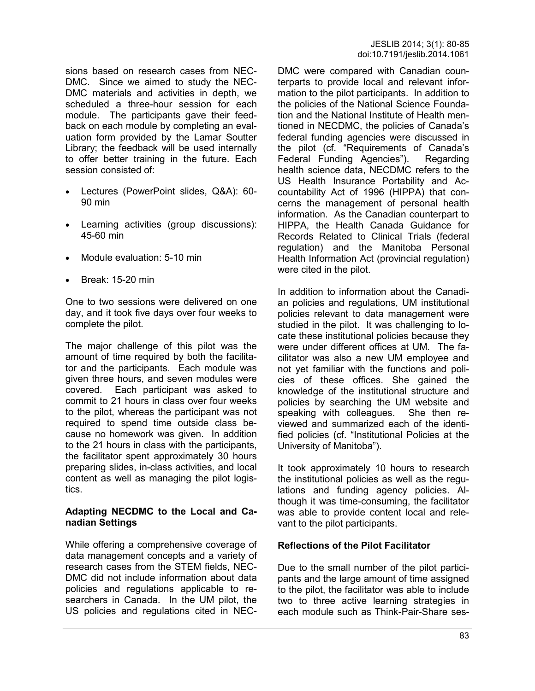sions based on research cases from NEC-DMC. Since we aimed to study the NEC-DMC materials and activities in depth, we scheduled a three-hour session for each module. The participants gave their feedback on each module by completing an evaluation form provided by the Lamar Soutter Library; the feedback will be used internally to offer better training in the future. Each session consisted of:

- Lectures (PowerPoint slides, Q&A): 60- 90 min
- Learning activities (group discussions): 45-60 min
- Module evaluation: 5-10 min
- $\bullet$  Break: 15-20 min

One to two sessions were delivered on one day, and it took five days over four weeks to complete the pilot.

The major challenge of this pilot was the amount of time required by both the facilitator and the participants. Each module was given three hours, and seven modules were covered. Each participant was asked to commit to 21 hours in class over four weeks to the pilot, whereas the participant was not required to spend time outside class because no homework was given. In addition to the 21 hours in class with the participants, the facilitator spent approximately 30 hours preparing slides, in-class activities, and local content as well as managing the pilot logistics.

#### **Adapting NECDMC to the Local and Canadian Settings**

While offering a comprehensive coverage of data management concepts and a variety of research cases from the STEM fields, NEC-DMC did not include information about data policies and regulations applicable to researchers in Canada. In the UM pilot, the US policies and regulations cited in NEC-

DMC were compared with Canadian counterparts to provide local and relevant information to the pilot participants. In addition to the policies of the National Science Foundation and the National Institute of Health mentioned in NECDMC, the policies of Canada's federal funding agencies were discussed in the pilot (cf. "Requirements of Canada's Federal Funding Agencies"). Regarding health science data, NECDMC refers to the US Health Insurance Portability and Accountability Act of 1996 (HIPPA) that concerns the management of personal health information. As the Canadian counterpart to HIPPA, the Health Canada Guidance for Records Related to Clinical Trials (federal regulation) and the Manitoba Personal Health Information Act (provincial regulation) were cited in the pilot.

In addition to information about the Canadian policies and regulations, UM institutional policies relevant to data management were studied in the pilot. It was challenging to locate these institutional policies because they were under different offices at UM. The facilitator was also a new UM employee and not yet familiar with the functions and policies of these offices. She gained the knowledge of the institutional structure and policies by searching the UM website and speaking with colleagues. She then reviewed and summarized each of the identified policies (cf. "Institutional Policies at the University of Manitoba").

It took approximately 10 hours to research the institutional policies as well as the regulations and funding agency policies. Although it was time-consuming, the facilitator was able to provide content local and relevant to the pilot participants.

#### **Reflections of the Pilot Facilitator**

Due to the small number of the pilot participants and the large amount of time assigned to the pilot, the facilitator was able to include two to three active learning strategies in each module such as Think-Pair-Share ses-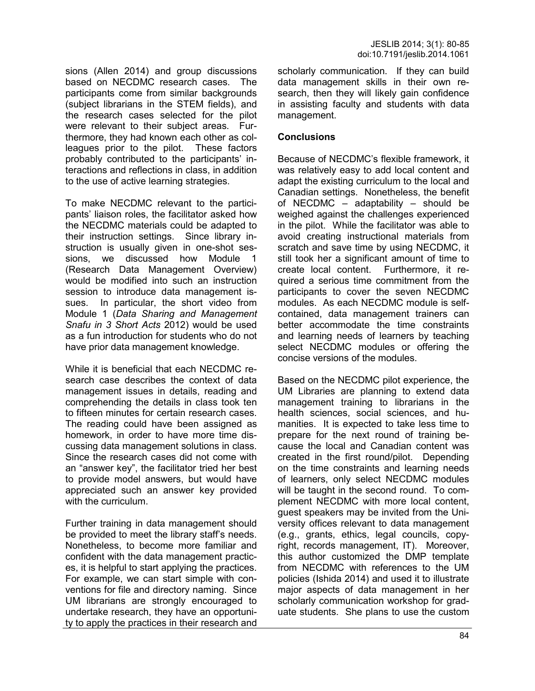sions (Allen 2014) and group discussions based on NECDMC research cases. The participants come from similar backgrounds (subject librarians in the STEM fields), and the research cases selected for the pilot were relevant to their subject areas. Furthermore, they had known each other as colleagues prior to the pilot. These factors probably contributed to the participants' interactions and reflections in class, in addition to the use of active learning strategies.

To make NECDMC relevant to the participants' liaison roles, the facilitator asked how the NECDMC materials could be adapted to their instruction settings. Since library instruction is usually given in one-shot sessions, we discussed how Module 1 (Research Data Management Overview) would be modified into such an instruction session to introduce data management issues. In particular, the short video from Module 1 (*Data Sharing and Management Snafu in 3 Short Acts* 2012) would be used as a fun introduction for students who do not have prior data management knowledge.

While it is beneficial that each NECDMC research case describes the context of data management issues in details, reading and comprehending the details in class took ten to fifteen minutes for certain research cases. The reading could have been assigned as homework, in order to have more time discussing data management solutions in class. Since the research cases did not come with an "answer key", the facilitator tried her best to provide model answers, but would have appreciated such an answer key provided with the curriculum.

Further training in data management should be provided to meet the library staff's needs. Nonetheless, to become more familiar and confident with the data management practices, it is helpful to start applying the practices. For example, we can start simple with conventions for file and directory naming. Since UM librarians are strongly encouraged to undertake research, they have an opportunity to apply the practices in their research and scholarly communication. If they can build data management skills in their own research, then they will likely gain confidence in assisting faculty and students with data management.

#### **Conclusions**

Because of NECDMC's flexible framework, it was relatively easy to add local content and adapt the existing curriculum to the local and Canadian settings. Nonetheless, the benefit of NECDMC – adaptability – should be weighed against the challenges experienced in the pilot. While the facilitator was able to avoid creating instructional materials from scratch and save time by using NECDMC, it still took her a significant amount of time to create local content. Furthermore, it required a serious time commitment from the participants to cover the seven NECDMC modules. As each NECDMC module is selfcontained, data management trainers can better accommodate the time constraints and learning needs of learners by teaching select NECDMC modules or offering the concise versions of the modules.

Based on the NECDMC pilot experience, the UM Libraries are planning to extend data management training to librarians in the health sciences, social sciences, and humanities. It is expected to take less time to prepare for the next round of training because the local and Canadian content was created in the first round/pilot. Depending on the time constraints and learning needs of learners, only select NECDMC modules will be taught in the second round. To complement NECDMC with more local content, guest speakers may be invited from the University offices relevant to data management (e.g., grants, ethics, legal councils, copyright, records management, IT). Moreover, this author customized the DMP template from NECDMC with references to the UM policies (Ishida 2014) and used it to illustrate major aspects of data management in her scholarly communication workshop for graduate students. She plans to use the custom